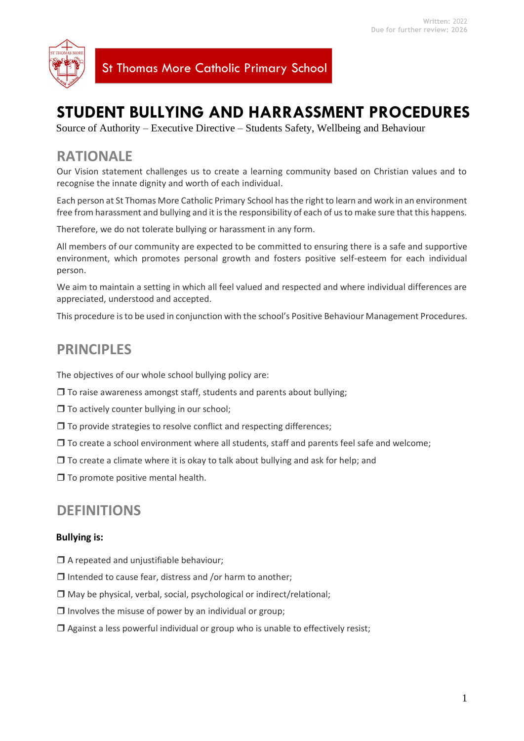

St Thomas More Catholic Primary School

# **STUDENT BULLYING AND HARRASSMENT PROCEDURES**

Source of Authority – Executive Directive – Students Safety, Wellbeing and Behaviour

## **RATIONALE**

Our Vision statement challenges us to create a learning community based on Christian values and to recognise the innate dignity and worth of each individual.

Each person at St Thomas More Catholic Primary School has the right to learn and work in an environment free from harassment and bullying and it is the responsibility of each of us to make sure that this happens.

Therefore, we do not tolerate bullying or harassment in any form.

All members of our community are expected to be committed to ensuring there is a safe and supportive environment, which promotes personal growth and fosters positive self-esteem for each individual person.

We aim to maintain a setting in which all feel valued and respected and where individual differences are appreciated, understood and accepted.

This procedure is to be used in conjunction with the school's Positive Behaviour Management Procedures.

# **PRINCIPLES**

The objectives of our whole school bullying policy are:

- $\Box$  To raise awareness amongst staff, students and parents about bullying;
- $\Box$  To actively counter bullying in our school;
- $\Box$  To provide strategies to resolve conflict and respecting differences;
- $\Box$  To create a school environment where all students, staff and parents feel safe and welcome;
- $\Box$  To create a climate where it is okay to talk about bullying and ask for help; and
- $\Box$  To promote positive mental health.

### **DEFINITIONS**

#### **Bullying is:**

- $\Box$  A repeated and unjustifiable behaviour;
- $\Box$  Intended to cause fear, distress and /or harm to another;
- $\Box$  May be physical, verbal, social, psychological or indirect/relational;
- $\Box$  Involves the misuse of power by an individual or group;
- $\Box$  Against a less powerful individual or group who is unable to effectively resist;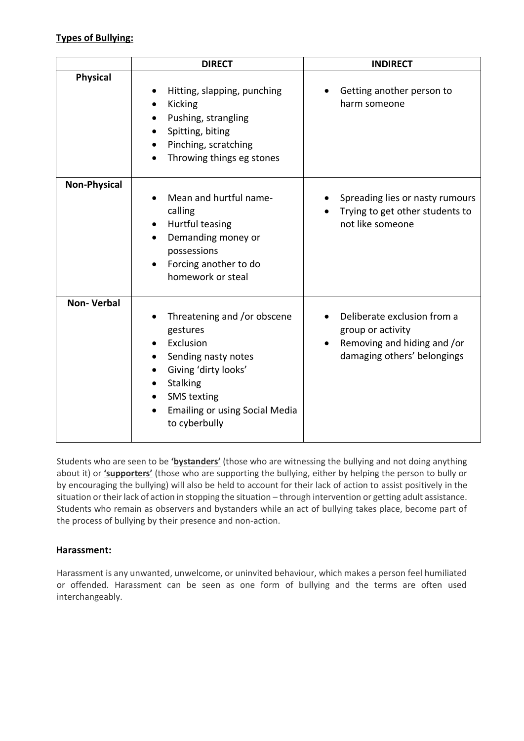### **Types of Bullying:**

|                     | <b>DIRECT</b>                                                                                                                                                                                                             | <b>INDIRECT</b>                                                                                                |
|---------------------|---------------------------------------------------------------------------------------------------------------------------------------------------------------------------------------------------------------------------|----------------------------------------------------------------------------------------------------------------|
| <b>Physical</b>     | Hitting, slapping, punching<br>Kicking<br>Pushing, strangling<br>Spitting, biting<br>Pinching, scratching<br>Throwing things eg stones                                                                                    | Getting another person to<br>harm someone                                                                      |
| <b>Non-Physical</b> | Mean and hurtful name-<br>calling<br>Hurtful teasing<br>Demanding money or<br>possessions<br>Forcing another to do<br>homework or steal                                                                                   | Spreading lies or nasty rumours<br>Trying to get other students to<br>not like someone                         |
| <b>Non-Verbal</b>   | Threatening and /or obscene<br>gestures<br>Exclusion<br>Sending nasty notes<br>Giving 'dirty looks'<br>$\bullet$<br>Stalking<br><b>SMS</b> texting<br>$\bullet$<br><b>Emailing or using Social Media</b><br>to cyberbully | Deliberate exclusion from a<br>group or activity<br>Removing and hiding and /or<br>damaging others' belongings |

Students who are seen to be **'bystanders'** (those who are witnessing the bullying and not doing anything about it) or **'supporters'** (those who are supporting the bullying, either by helping the person to bully or by encouraging the bullying) will also be held to account for their lack of action to assist positively in the situation or their lack of action in stopping the situation – through intervention or getting adult assistance. Students who remain as observers and bystanders while an act of bullying takes place, become part of the process of bullying by their presence and non-action.

### **Harassment:**

Harassment is any unwanted, unwelcome, or uninvited behaviour, which makes a person feel humiliated or offended. Harassment can be seen as one form of bullying and the terms are often used interchangeably.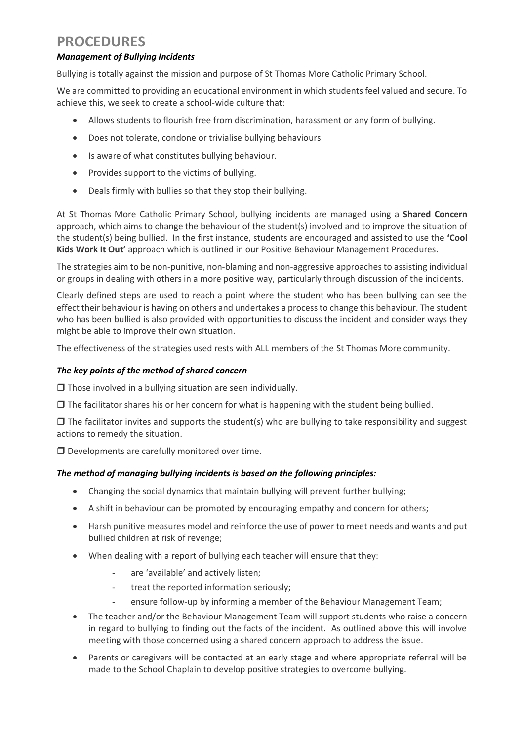# **PROCEDURES**

#### *Management of Bullying Incidents*

Bullying is totally against the mission and purpose of St Thomas More Catholic Primary School.

We are committed to providing an educational environment in which students feel valued and secure. To achieve this, we seek to create a school-wide culture that:

- Allows students to flourish free from discrimination, harassment or any form of bullying.
- Does not tolerate, condone or trivialise bullying behaviours.
- Is aware of what constitutes bullying behaviour.
- Provides support to the victims of bullying.
- Deals firmly with bullies so that they stop their bullying.

At St Thomas More Catholic Primary School, bullying incidents are managed using a **Shared Concern** approach, which aims to change the behaviour of the student(s) involved and to improve the situation of the student(s) being bullied. In the first instance, students are encouraged and assisted to use the **'Cool Kids Work It Out'** approach which is outlined in our Positive Behaviour Management Procedures.

The strategies aim to be non-punitive, non-blaming and non-aggressive approaches to assisting individual or groups in dealing with others in a more positive way, particularly through discussion of the incidents.

Clearly defined steps are used to reach a point where the student who has been bullying can see the effect their behaviour is having on others and undertakes a process to change this behaviour. The student who has been bullied is also provided with opportunities to discuss the incident and consider ways they might be able to improve their own situation.

The effectiveness of the strategies used rests with ALL members of the St Thomas More community.

#### *The key points of the method of shared concern*

 $\Box$  Those involved in a bullying situation are seen individually.

 $\Box$  The facilitator shares his or her concern for what is happening with the student being bullied.

 $\Box$  The facilitator invites and supports the student(s) who are bullying to take responsibility and suggest actions to remedy the situation.

 $\square$  Developments are carefully monitored over time.

#### *The method of managing bullying incidents is based on the following principles:*

- Changing the social dynamics that maintain bullying will prevent further bullying;
- A shift in behaviour can be promoted by encouraging empathy and concern for others;
- Harsh punitive measures model and reinforce the use of power to meet needs and wants and put bullied children at risk of revenge;
- When dealing with a report of bullying each teacher will ensure that they:
	- are 'available' and actively listen;
	- treat the reported information seriously;
	- ensure follow-up by informing a member of the Behaviour Management Team;
- The teacher and/or the Behaviour Management Team will support students who raise a concern in regard to bullying to finding out the facts of the incident. As outlined above this will involve meeting with those concerned using a shared concern approach to address the issue.
- Parents or caregivers will be contacted at an early stage and where appropriate referral will be made to the School Chaplain to develop positive strategies to overcome bullying.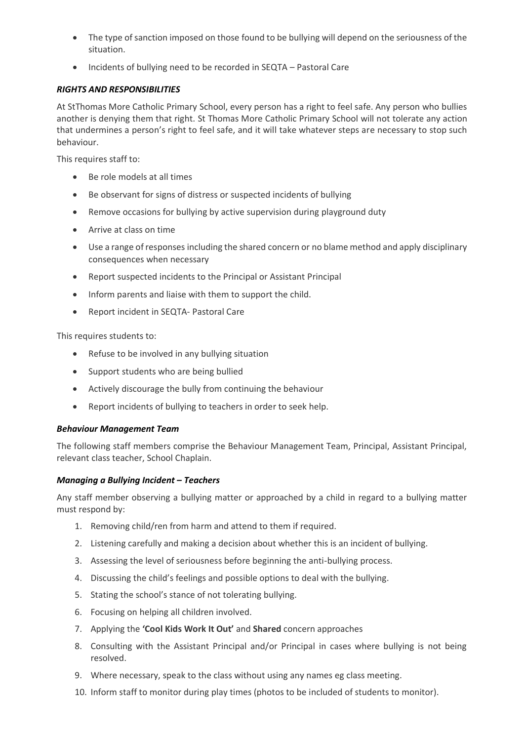- The type of sanction imposed on those found to be bullying will depend on the seriousness of the situation.
- Incidents of bullying need to be recorded in SEQTA Pastoral Care

#### *RIGHTS AND RESPONSIBILITIES*

At StThomas More Catholic Primary School, every person has a right to feel safe. Any person who bullies another is denying them that right. St Thomas More Catholic Primary School will not tolerate any action that undermines a person's right to feel safe, and it will take whatever steps are necessary to stop such behaviour.

This requires staff to:

- Be role models at all times
- Be observant for signs of distress or suspected incidents of bullying
- Remove occasions for bullying by active supervision during playground duty
- Arrive at class on time
- Use a range of responses including the shared concern or no blame method and apply disciplinary consequences when necessary
- Report suspected incidents to the Principal or Assistant Principal
- Inform parents and liaise with them to support the child.
- Report incident in SEQTA- Pastoral Care

This requires students to:

- Refuse to be involved in any bullying situation
- Support students who are being bullied
- Actively discourage the bully from continuing the behaviour
- Report incidents of bullying to teachers in order to seek help.

#### *Behaviour Management Team*

The following staff members comprise the Behaviour Management Team, Principal, Assistant Principal, relevant class teacher, School Chaplain.

#### *Managing a Bullying Incident – Teachers*

Any staff member observing a bullying matter or approached by a child in regard to a bullying matter must respond by:

- 1. Removing child/ren from harm and attend to them if required.
- 2. Listening carefully and making a decision about whether this is an incident of bullying.
- 3. Assessing the level of seriousness before beginning the anti-bullying process.
- 4. Discussing the child's feelings and possible options to deal with the bullying.
- 5. Stating the school's stance of not tolerating bullying.
- 6. Focusing on helping all children involved.
- 7. Applying the **'Cool Kids Work It Out'** and **Shared** concern approaches
- 8. Consulting with the Assistant Principal and/or Principal in cases where bullying is not being resolved.
- 9. Where necessary, speak to the class without using any names eg class meeting.
- 10. Inform staff to monitor during play times (photos to be included of students to monitor).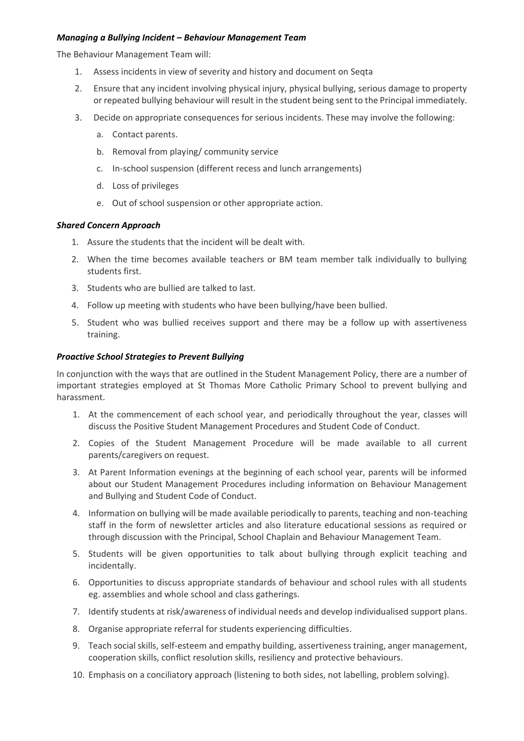#### *Managing a Bullying Incident – Behaviour Management Team*

The Behaviour Management Team will:

- 1. Assess incidents in view of severity and history and document on Seqta
- 2. Ensure that any incident involving physical injury, physical bullying, serious damage to property or repeated bullying behaviour will result in the student being sent to the Principal immediately.
- 3. Decide on appropriate consequences for serious incidents. These may involve the following:
	- a. Contact parents.
	- b. Removal from playing/ community service
	- c. In-school suspension (different recess and lunch arrangements)
	- d. Loss of privileges
	- e. Out of school suspension or other appropriate action.

#### *Shared Concern Approach*

- 1. Assure the students that the incident will be dealt with.
- 2. When the time becomes available teachers or BM team member talk individually to bullying students first.
- 3. Students who are bullied are talked to last.
- 4. Follow up meeting with students who have been bullying/have been bullied.
- 5. Student who was bullied receives support and there may be a follow up with assertiveness training.

#### *Proactive School Strategies to Prevent Bullying*

In conjunction with the ways that are outlined in the Student Management Policy, there are a number of important strategies employed at St Thomas More Catholic Primary School to prevent bullying and harassment.

- 1. At the commencement of each school year, and periodically throughout the year, classes will discuss the Positive Student Management Procedures and Student Code of Conduct.
- 2. Copies of the Student Management Procedure will be made available to all current parents/caregivers on request.
- 3. At Parent Information evenings at the beginning of each school year, parents will be informed about our Student Management Procedures including information on Behaviour Management and Bullying and Student Code of Conduct.
- 4. Information on bullying will be made available periodically to parents, teaching and non-teaching staff in the form of newsletter articles and also literature educational sessions as required or through discussion with the Principal, School Chaplain and Behaviour Management Team.
- 5. Students will be given opportunities to talk about bullying through explicit teaching and incidentally.
- 6. Opportunities to discuss appropriate standards of behaviour and school rules with all students eg. assemblies and whole school and class gatherings.
- 7. Identify students at risk/awareness of individual needs and develop individualised support plans.
- 8. Organise appropriate referral for students experiencing difficulties.
- 9. Teach social skills, self-esteem and empathy building, assertiveness training, anger management, cooperation skills, conflict resolution skills, resiliency and protective behaviours.
- 10. Emphasis on a conciliatory approach (listening to both sides, not labelling, problem solving).